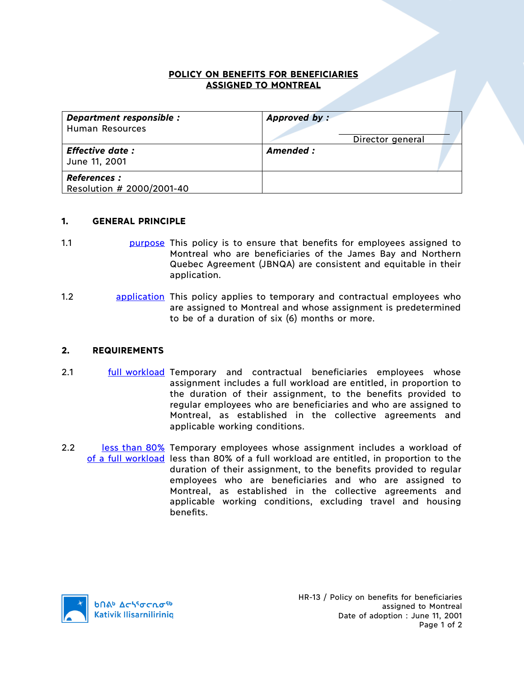## **POLICY ON BENEFITS FOR BENEFICIARIES ASSIGNED TO MONTREAL**

| Department responsible :<br><b>Human Resources</b> | Approved by:<br>Director general |
|----------------------------------------------------|----------------------------------|
| <b>Effective date:</b><br>June 11, 2001            | Amended :                        |
| <b>References :</b><br>Resolution # 2000/2001-40   |                                  |

## **1. GENERAL PRINCIPLE**

- 1.1 **1.1 purpose This policy is to ensure that benefits for employees assigned to** Montreal who are beneficiaries of the James Bay and Northern Quebec Agreement (JBNQA) are consistent and equitable in their application.
- 1.2 **application** This policy applies to temporary and contractual employees who are assigned to Montreal and whose assignment is predetermined to be of a duration of six (6) months or more.

## **2. REQUIREMENTS**

- 2.1 **full workload Temporary and contractual beneficiaries employees whose** assignment includes a full workload are entitled, in proportion to the duration of their assignment, to the benefits provided to regular employees who are beneficiaries and who are assigned to Montreal, as established in the collective agreements and applicable working conditions.
- 2.2 less than 80% Temporary employees whose assignment includes a workload of of a full workload less than 80% of a full workload are entitled, in proportion to the duration of their assignment, to the benefits provided to regular employees who are beneficiaries and who are assigned to Montreal, as established in the collective agreements and applicable working conditions, excluding travel and housing benefits.